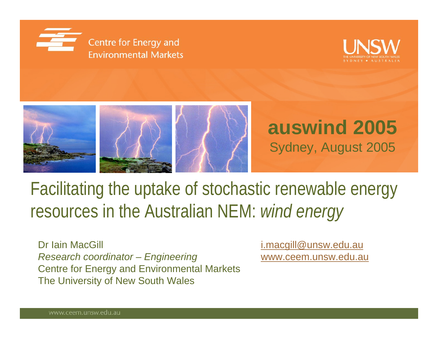





# Facilitating the uptake of stochastic renewable energy resources in the Australian NEM: *wind energy*

Dr Iain MacGill **i.macgill@unsw.edu.au** *Research coordinator – Engineering* www.ceem.unsw.edu.au Centre for Energy and Environmental Markets The University of New South Wales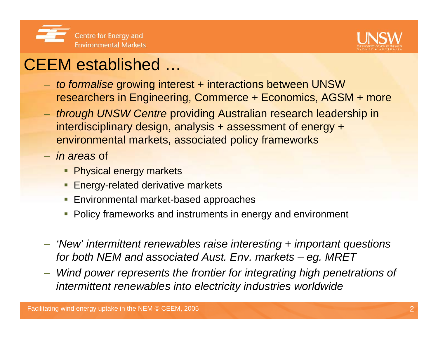



### CEEM established …

- *to formalise* growing interest + interactions between UNSW researchers in Engineering, Commerce + Economics, AGSM + more
- *through UNSW Centre* providing Australian research leadership in interdisciplinary design, analysis + assessment of energy + environmental markets, associated policy frameworks
- *in areas* of
	- **Physical energy markets**
	- **Energy-related derivative markets**
	- **Environmental market-based approaches**
	- **Policy frameworks and instruments in energy and environment**
- *'New' intermittent renewables raise interesting + important questions for both NEM and associated Aust. Env. markets – eg. MRET*
- – *Wind power represents the frontier for integrating high penetrations of intermittent renewables into electricity industries worldwide*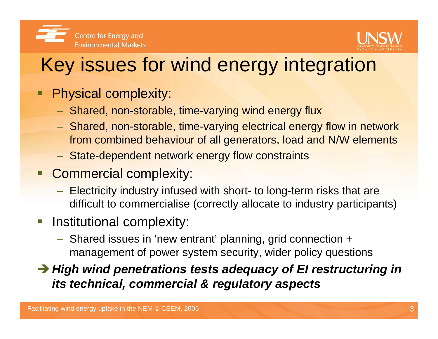



# Key issues for wind energy integration

- Ξ Physical complexity:
	- Shared, non-storable, time-varying wind energy flux
	- Shared, non-storable, time-varying electrical energy flow in network from combined behaviour of all generators, load and N/W elements
	- State-dependent network energy flow constraints
- **Commercial complexity:** 
	- Electricity industry infused with short- to long-term risks that are difficult to commercialise (correctly allocate to industry participants)
- $\mathcal{L}_{\mathcal{A}}$  Institutional complexity:
	- Shared issues in 'new entrant' planning, grid connection + management of power system security, wider policy questions

**→ High wind penetrations tests adequacy of EI restructuring in** *its technical, commercial & regulatory aspects*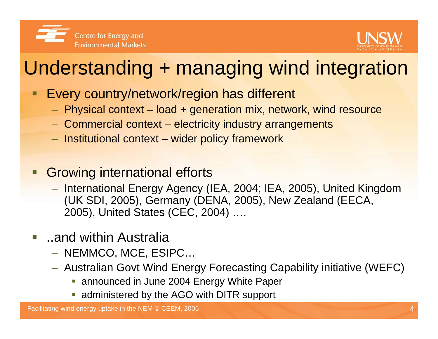



# Understanding + managing wind integration

- Every country/network/region has different
	- $-$  Physical context load + generation mix, network, wind resource
	- Commercial context electricity industry arrangements
	- $-$  Institutional context wider policy framework
- П Growing international efforts
	- International Energy Agency (IEA, 2004; IEA, 2005), United Kingdom (UK SDI, 2005), Germany (DENA, 2005), New Zealand (EECA, 2005), United States (CEC, 2004) ….
- $\mathcal{L}_{\mathcal{A}}$  ..and within Australia
	- NEMMCO, MCE, ESIPC…
	- Australian Govt Wind Energy Forecasting Capability initiative (WEFC)
		- **announced in June 2004 Energy White Paper**
		- **administered by the AGO with DITR support**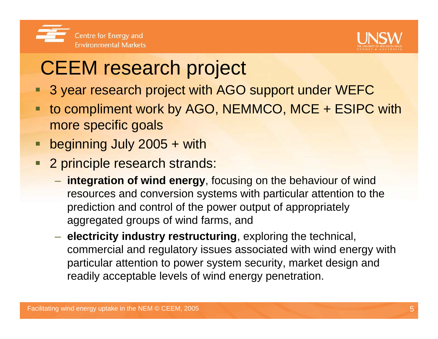



# CEEM research project

- 3 year research project with AGO support under WEFC
- $\blacksquare$  to compliment work by AGO, NEMMCO, MCE + ESIPC with more specific goals
- beginning July 2005 + with
- 2 principle research strands:
	- **integration of wind energy**, focusing on the behaviour of wind resources and conversion systems with particular attention to the prediction and control of the power output of appropriately aggregated groups of wind farms, and
	- **electricity industry restructuring**, exploring the technical, commercial and regulatory issues associated with wind energy with particular attention to power system security, market design and readily acceptable levels of wind energy penetration.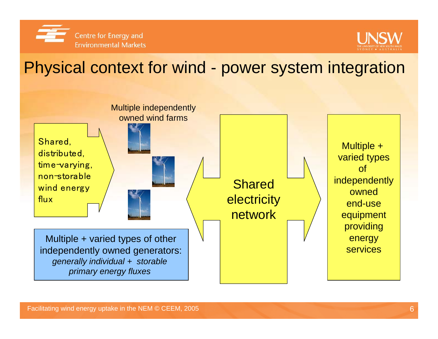



Physical context for wind - power system integration

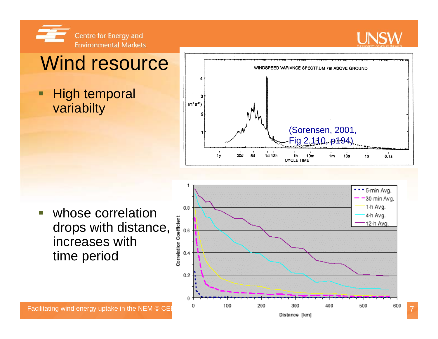

### **LINSW**

# Wind resource

 $\blacksquare$  High temporal variabilty



 $\overline{\phantom{a}}$  whose correlation drops with distance, increases with time period

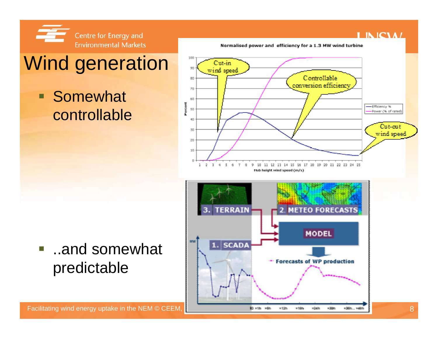

**Somewhat** 

controllable

# Wind generation

#### Normalised power and efficiency for a 1.3 MW wind turbine

#### 301 Cut in 30 wind spee Controllable 80 conversion efficienc 70  $\Delta t$ Partent -Efficiency % 55 Power (% of rated) 情報 Cut-cut  $\sqrt{S}$ 30 wind speed Fig 2.110, p194)20 30  $3 - 2 - 3$  $\sim 10$  $\mathbf{R}$  .  $\mathcal{A}_1$  $T=0$  . 9 10 11 12 13 14 15 16 17 18 19 20 21 22 23 24 25 Hub height wind speed (m/s)



**...and somewhat** predictable

**I INICIAL**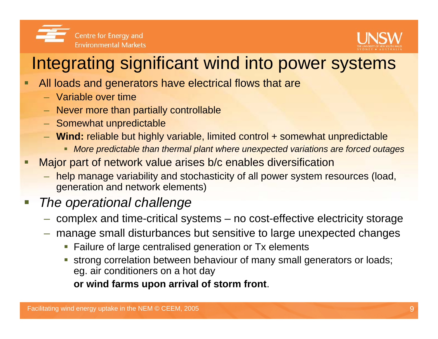



### Integrating significant wind into power systems

- □ All loads and generators have electrical flows that are
	- Variable over time
	- Never more than partially controllable
	- Somewhat unpredictable
	- **Wind:** reliable but highly variable, limited control + somewhat unpredictable
		- *More predictable than thermal plant where unexpected variations are forced outages*
- $\blacksquare$  Major part of network value arises b/c enables diversification
	- help manage variability and stochasticity of all power system resources (load, generation and network elements)

#### $\overline{\phantom{a}}$ *The operational challenge*

- –complex and time-critical systems – no cost-effective electricity storage
- manage small disturbances but sensitive to large unexpected changes
	- **Failure of large centralised generation or Tx elements**
	- strong correlation between behaviour of many small generators or loads; eg. air conditioners on a hot day

**or wind farms upon arrival of storm front**.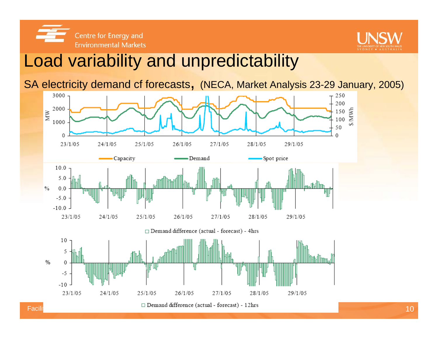Centre for Energy and **Environmental Markets** 



### Load variability and unpredictability

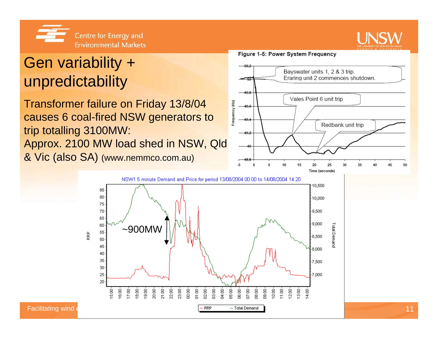

### Gen variability + unpredictability

Transformer failure on Friday 13/8/04 causes 6 coal-fired NSW generators to trip totalling 3100MW: Approx. 2100 MW load shed in NSW, Qld & Vic (also SA) (www.nemmco.com.au)

> 85  $80<sub>1</sub>$

> 75 70

> 65

60  $55<sub>2</sub>$ 

 $50<sub>1</sub>$ 45

 $40<sub>1</sub>$  $35<sub>1</sub>$ 

 $30<sub>1</sub>$  $25<sub>1</sub>$ 

20

RRP

#### Figure 1-5: Power System Frequency

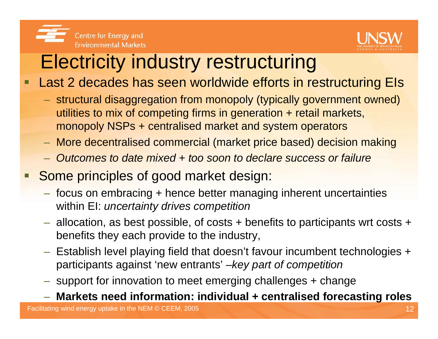



# Electricity industry restructuring

- $\blacksquare$  Last 2 decades has seen worldwide efforts in restructuring EIs
	- structural disaggregation from monopoly (typically government owned) utilities to mix of competing firms in generation + retail markets, monopoly NSPs + centralised market and system operators
	- More decentralised commercial (market price based) decision making
	- *Outcomes to date mixed + too soon to declare success or failure*
- l. Some principles of good market design:
	- focus on embracing + hence better managing inherent uncertainties within EI: *uncertainty drives competition*
	- $-$  allocation, as best possible, of costs + benefits to participants wrt costs + benefits they each provide to the industry,
	- Establish level playing field that doesn't favour incumbent technologies + participants against 'new entrants' –*key part of competition*
	- $-$  support for innovation to meet emerging challenges + change

**Markets need information: individual + centralised forecasting roles**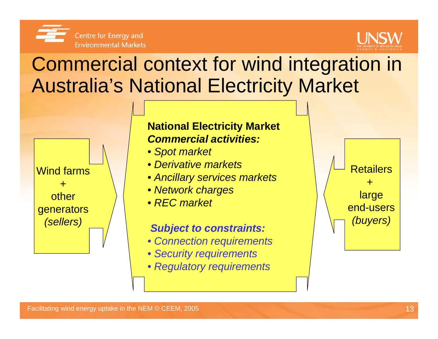



# Commercial context for wind integration in Australia's National Electricity Market



#### **National Electricity Market** *Commercial activities:*

- *Spot market*
- *Derivative markets*
- *Ancillary services markets*
- *Network charges*
- *REC market*

#### *Subject to constraints:*

- *Connection requirements*
- *Security requirements*
- *Regulatory requirements*

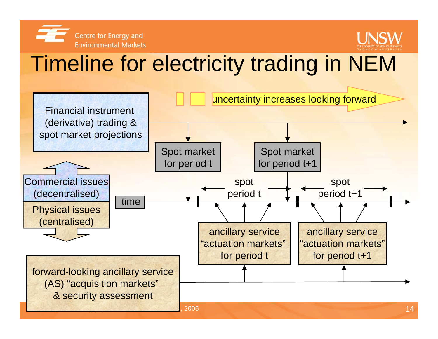



# Timeline for electricity trading in NEM

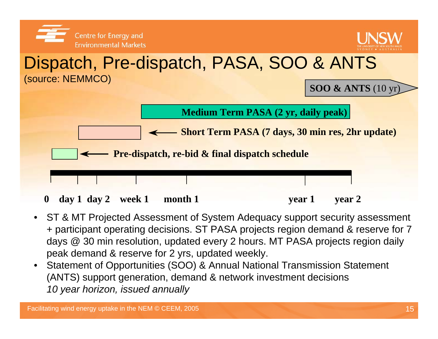

- ST & MT Projected Assessment of System Adequacy support security assessment + participant operating decisions. ST PASA projects region demand & reserve for 7 days @ 30 min resolution, updated every 2 hours. MT PASA projects region daily peak demand & reserve for 2 yrs, updated weekly.
- $\bullet$  Statement of Opportunities (SOO) & Annual National Transmission Statement (ANTS) support generation, demand & network investment decisions *10 year horizon, issued annually*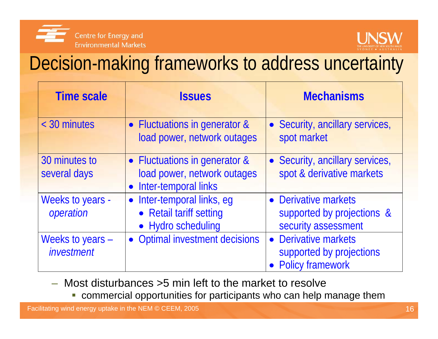



# Decision-making frameworks to address uncertainty

| <b>Time scale</b>              | <b>Issues</b>                                                                                     | <b>Mechanisms</b>                                                           |
|--------------------------------|---------------------------------------------------------------------------------------------------|-----------------------------------------------------------------------------|
| < 30 minutes                   | • Fluctuations in generator &<br>load power, network outages                                      | • Security, ancillary services,<br>spot market                              |
| 30 minutes to<br>several days  | • Fluctuations in generator &<br>load power, network outages<br>Inter-temporal links<br>$\bullet$ | • Security, ancillary services,<br>spot & derivative markets                |
| Weeks to years -<br>operation  | Inter-temporal links, eq<br>$\bullet$<br>• Retail tariff setting<br>• Hydro scheduling            | • Derivative markets<br>supported by projections &<br>security assessment   |
| Weeks to years -<br>investment | <b>Optimal investment decisions</b>                                                               | • Derivative markets<br>supported by projections<br><b>Policy framework</b> |

- Most disturbances >5 min left to the market to resolve
	- commercial opportunities for participants who can help manage them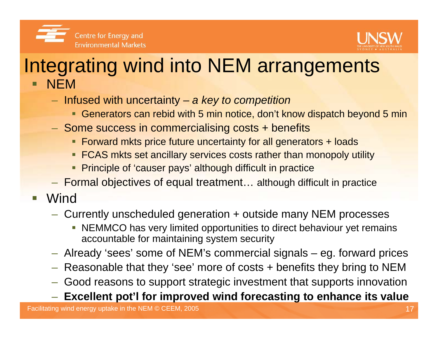



### Integrating wind into NEM arrangements П NEM

- Infused with uncertainty *a key to competition*
	- Generators can rebid with 5 min notice, don't know dispatch beyond 5 min
- $-$  Some success in commercialising costs + benefits
	- Forward mkts price future uncertainty for all generators + loads
	- **FCAS mkts set ancillary services costs rather than monopoly utility**
	- **Principle of 'causer pays' although difficult in practice**
- Formal objectives of equal treatment… although difficult in practice
- $\overline{\phantom{a}}$ **Wind** 
	- $-$  Currently unscheduled generation + outside many NEM processes
		- $\overline{\phantom{a}}$  NEMMCO has very limited opportunities to direct behaviour yet remains accountable for maintaining system security
	- Already 'sees' some of NEM's commercial signals eg. forward prices
	- Reasonable that they 'see' more of costs + benefits they bring to NEM
	- $-$  Good reasons to support strategic investment that supports innovation

### **Excellent pot'l for improved wind forecasting to enhance its value**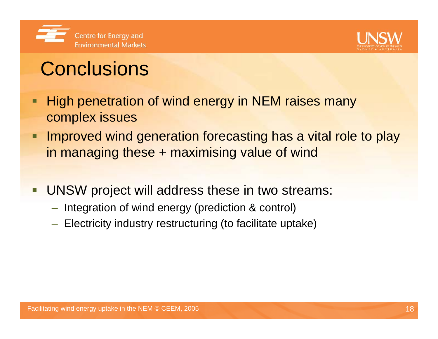



# **Conclusions**

- □ High penetration of wind energy in NEM raises many complex issues
- □ Improved wind generation forecasting has a vital role to play in managing these + maximising value of wind
- $\Box$  UNSW project will address these in two streams:
	- $-$  Integration of wind energy (prediction & control)
	- $-$  Electricity industry restructuring (to facilitate uptake)